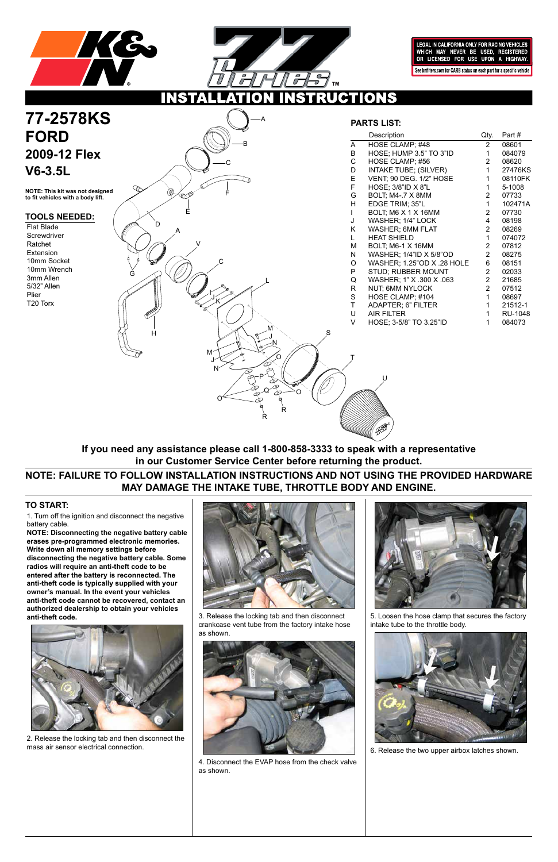



LEGAL IN CALIFORNIA ONLY FOR RACING VEHICLES WHICH MAY NEVER BE USED, REGISTERED<br>OR LICENSED FOR USE UPON A HIGHWAY. See knfilters.com for CARB status on each part for a specific vehicle

**CTIONS** 

1. Turn off the ignition and disconnect the negative battery cable.

# **77-2578KS FORD 2009-12 Flex V6-3.5L**

**NOTE: Disconnecting the negative battery cable erases pre-programmed electronic memories. Write down all memory settings before disconnecting the negative battery cable. Some radios will require an anti-theft code to be entered after the battery is reconnected. The anti-theft code is typically supplied with your owner's manual. In the event your vehicles anti-theft code cannot be recovered, contact an authorized dealership to obtain your vehicles anti-theft code.**



## **TO START:**

**NOTE: This kit was not designed to fit vehicles with a body lift.**

### **TOOLS NEEDED:**

Flat Blade **Screwdriver** Ratchet Extension 10mm Socket 10mm Wrench 3mm Allen 5/32" Allen Plier T20 Torx

**NOTE: FAILURE TO FOLLOW INSTALLATION INSTRUCTIONS AND NOT USING THE PROVIDED HARDWARE MAY DAMAGE THE INTAKE TUBE, THROTTLE BODY AND ENGINE.**

**If you need any assistance please call 1-800-858-3333 to speak with a representative in our Customer Service Center before returning the product.**



**PARTS LIST:**

|   | Description                  | Qty.           | Part#          |
|---|------------------------------|----------------|----------------|
| A | HOSE CLAMP; #48              | $\mathbf{2}$   | 08601          |
| B | HOSE; HUMP 3.5" TO 3"ID      | $\mathbf 1$    | 084079         |
| С | HOSE CLAMP; #56              | $\mathbf{2}^-$ | 08620          |
| D | <b>INTAKE TUBE; (SILVER)</b> | $\mathbf{1}$   | 27476KS        |
| E | VENT; 90 DEG. 1/2" HOSE      | 1              | 08110FK        |
| F | HOSE; 3/8"ID X 8"L           | $\mathbf{1}$   | 5-1008         |
| G | <b>BOLT; M4-.7 X 8MM</b>     | $\overline{2}$ | 07733          |
| H | EDGE TRIM; 35"L              | 1              | 102471A        |
| L | BOLT; M6 X 1 X 16MM          | $2^{\circ}$    | 07730          |
| J | WASHER; 1/4" LOCK            | 4              | 08198          |
| Κ | <b>WASHER; 6MM FLAT</b>      | $\overline{2}$ | 08269          |
| L | <b>HEAT SHIELD</b>           | $\mathbf{1}$   | 074072         |
| Μ | BOLT; M6-1 X 16MM            | $\mathbf{2}$   | 07812          |
| Ν | WASHER; 1/4"ID X 5/8"OD      | $\overline{2}$ | 08275          |
| О | WASHER; 1.25"OD X .28 HOLE   | 6              | 08151          |
| P | <b>STUD; RUBBER MOUNT</b>    | $\overline{2}$ | 02033          |
| Q | WASHER; 1" X .300 X .063     | $2^{\circ}$    | 21685          |
| R | NUT; 6MM NYLOCK              | $\overline{2}$ | 07512          |
| S | HOSE CLAMP; #104             | $\mathbf{1}$   | 08697          |
| T | <b>ADAPTER; 6" FILTER</b>    | 1              | 21512-1        |
| U | <b>AIR FILTER</b>            | $\mathbf{1}$   | <b>RU-1048</b> |
| V | HOSE; 3-5/8" TO 3.25"ID      | 1              | 084073         |
|   |                              |                |                |

2. Release the locking tab and then disconnect the mass air sensor electrical connection.





3. Release the locking tab and then disconnect crankcase vent tube from the factory intake hose as shown.

4. Disconnect the EVAP hose from the check valve as shown.





5. Loosen the hose clamp that secures the factory intake tube to the throttle body.

6. Release the two upper airbox latches shown.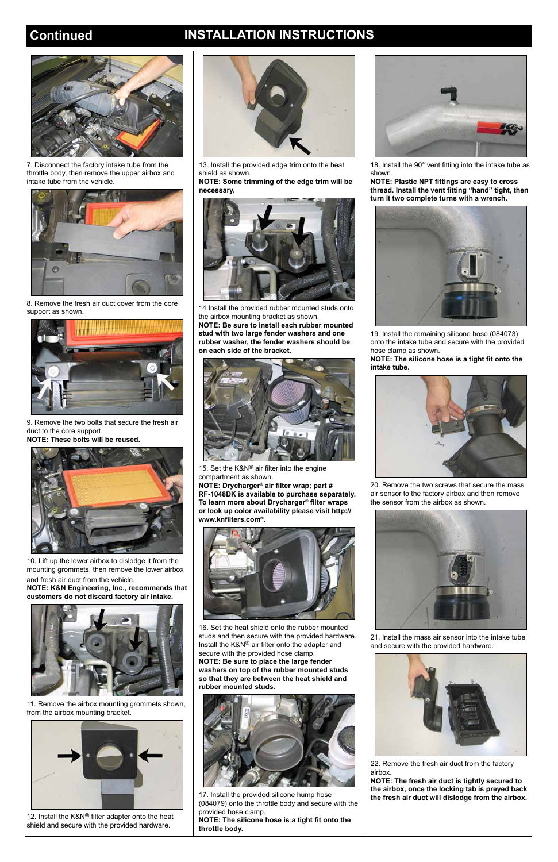## **Continued INSTALLATION INSTRUCTIONS**



7. Disconnect the factory intake tube from the throttle body, then remove the upper airbox and intake tube from the vehicle.



8. Remove the fresh air duct cover from the core support as shown.



9. Remove the two bolts that secure the fresh air duct to the core support.

**NOTE: These bolts will be reused.**

12. Install the K&N® filter adapter onto the heat shield and secure with the provided hardware.



10. Lift up the lower airbox to dislodge it from the mounting grommets, then remove the lower airbox

and fresh air duct from the vehicle. **NOTE: K&N Engineering, Inc., recommends that customers do not discard factory air intake.**







15. Set the K&N® air filter into the engine compartment as shown.

11. Remove the airbox mounting grommets shown, from the airbox mounting bracket.



13. Install the provided edge trim onto the heat shield as shown.

**NOTE: Some trimming of the edge trim will be necessary.**



14.Install the provided rubber mounted studs onto the airbox mounting bracket as shown. **NOTE: Be sure to install each rubber mounted stud with two large fender washers and one** 

**rubber washer, the fender washers should be on each side of the bracket.**

**NOTE: Drycharger® air filter wrap; part # RF-1048DK is available to purchase separately. To learn more about Drycharger® filter wraps or look up color availability please visit http:// www.knfilters.com®.**



16. Set the heat shield onto the rubber mounted



studs and then secure with the provided hardware. Install the K&N® air filter onto the adapter and secure with the provided hose clamp. **NOTE: Be sure to place the large fender washers on top of the rubber mounted studs so that they are between the heat shield and rubber mounted studs.**



17. Install the provided silicone hump hose (084079) onto the throttle body and secure with the provided hose clamp. **NOTE: The silicone hose is a tight fit onto the** 

**throttle body.**

18. Install the 90° vent fitting into the intake tube as shown.

**NOTE: Plastic NPT fittings are easy to cross thread. Install the vent fitting "hand" tight, then turn it two complete turns with a wrench.**



19. Install the remaining silicone hose (084073) onto the intake tube and secure with the provided hose clamp as shown.

**NOTE: The silicone hose is a tight fit onto the intake tube.**



20. Remove the two screws that secure the mass air sensor to the factory airbox and then remove the sensor from the airbox as shown.



21. Install the mass air sensor into the intake tube and secure with the provided hardware.



22. Remove the fresh air duct from the factory airbox.

**NOTE: The fresh air duct is tightly secured to the airbox, once the locking tab is preyed back the fresh air duct will dislodge from the airbox.**